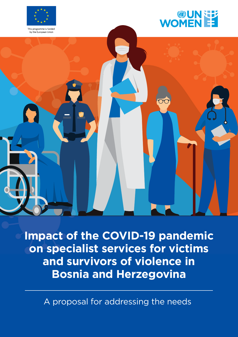



by the European Union



**Impact of the COVID-19 pandemic on specialist services for victims and survivors of violence in Bosnia and Herzegovina**

A proposal for addressing the needs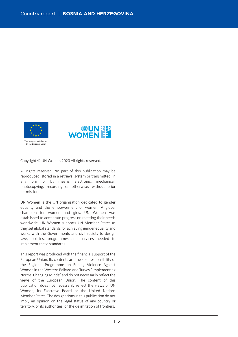

Copyright © UN Women 2020 All rights reserved.

All rights reserved. No part of this publication may be reproduced, stored in a retrieval system or transmitted, in any form or by means, electronic, mechanical, photocopying, recording or otherwise, without prior permission.

UN Women is the UN organization dedicated to gender equality and the empowerment of women. A global champion for women and girls, UN Women was established to accelerate progress on meeting their needs worldwide. UN Women supports UN Member States as they set global standards for achieving gender equality and works with the Governments and civil society to design laws, policies, programmes and services needed to implement these standards.

This report was produced with the financial support of the European Union. Its contents are the sole responsibility of the Regional Programme on Ending Violence Against Women in the Western Balkans and Turkey "Implementing Norms, Changing Minds" and do not necessarily reflect the views of the European Union. The content of this publication does not necessarily reflect the views of UN Women, its Executive Board or the United Nations Member States. The designations in this publication do not imply an opinion on the legal status of any country or territory, or its authorities, or the delimitation of frontiers.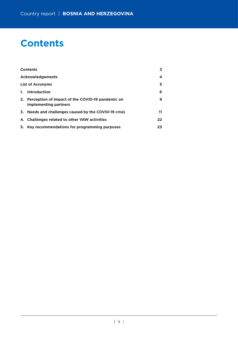# **Contents**

|    | <b>Contents</b>                                                              | 3. |
|----|------------------------------------------------------------------------------|----|
|    | <b>Acknowledgements</b>                                                      | 4  |
|    | <b>List of Acronyms</b>                                                      | 5  |
| 1. | Introduction                                                                 | 6  |
|    | 2. Perception of impact of the COVID-19 pandemic on<br>implementing partners | 9  |
|    | 3. Needs and challenges caused by the COVID-19 crisis                        | 11 |
|    | 4. Challenges related to other VAW activities                                | 22 |
|    | 5. Key recommendations for programming purposes                              | 23 |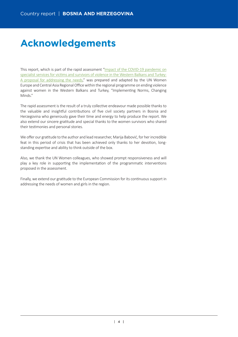# **Acknowledgements**

This report, which is part of the rapid assessment"[Impact of the COVID-19 pandemic on](https://eca.unwomen.org/en/digital-library/publications/2020/05/impact-of-the-covid-19-pandemic-on-specialist-services-for-victims-and-survivors-of-violence) specialist services for victims and survivors of violence in the Western Balkans and Turkey: [A proposal for addressing the needs,](https://eca.unwomen.org/en/digital-library/publications/2020/05/impact-of-the-covid-19-pandemic-on-specialist-services-for-victims-and-survivors-of-violence)" was prepared and adapted by the UN Women Europe and Central Asia Regional Office within the regional programme on ending violence against women in the Western Balkans and Turkey, "Implementing Norms, Changing Minds."

The rapid assessment is the result of a truly collective endeavour made possible thanks to the valuable and insightful contributions of five civil society partners in Bosnia and Herzegovina who generously gave their time and energy to help produce the report. We also extend our sincere gratitude and special thanks to the women survivors who shared their testimonies and personal stories.

We offer our gratitude to the author and lead researcher, Marija Babović, for her incredible feat in this period of crisis that has been achieved only thanks to her devotion, longstanding expertise and ability to think outside of the box.

Also, we thank the UN Women colleagues, who showed prompt responsiveness and will play a key role in supporting the implementation of the programmatic interventions proposed in the assessment.

Finally, we extend our gratitude to the European Commission for its continuous support in addressing the needs of women and girls in the region.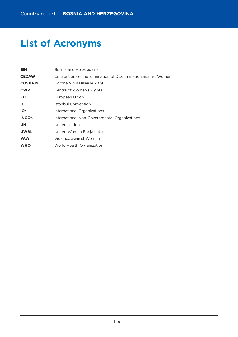# **List of Acronyms**

| <b>BiH</b>      | Bosnia and Herzegovina                                        |
|-----------------|---------------------------------------------------------------|
| <b>CEDAW</b>    | Convention on the Elimination of Discrimination against Women |
| <b>COVID-19</b> | Corona Virus Disease 2019                                     |
| <b>CWR</b>      | Centre of Women's Rights                                      |
| EU              | European Union                                                |
| IC.             | Istanbul Convention                                           |
| <b>IOs</b>      | International Organizations                                   |
| <b>INGOs</b>    | International Non-Governmental Organizations                  |
| <b>UN</b>       | United Nations                                                |
| <b>UWBL</b>     | United Women Banja Luka                                       |
| <b>VAW</b>      | Violence against Women                                        |
| <b>WHO</b>      | World Health Organization                                     |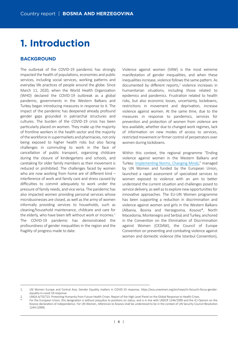# **1. Introduction**

# **BACKGROUND**

The outbreak of the COVID-19 pandemic has strongly impacted the health of populations, economies and public services, including social services, working patterns and everyday life practices of people around the globe. Since March 11, 2020, when the World Health Organization (WHO) declared the COVID-19 outbreak as a global pandemic, governments in the Western Balkans and Turkey began introducing measures in response to it. The impact of the pandemic has deepened already profound gender gaps grounded in patriarchal structures and cultures. The burden of the COVID-19 crisis has been particularly placed on women. They make up the majority of frontline workers in the health sector and the majority of the workforce in supermarkets and pharmacies, not only being exposed to higher health risks but also facing challenges in commuting to work in the face of cancellation of public transport, organizing childcare during the closure of kindergartens and schools, and caretaking for older family members as their movement is reduced or prohibited. The challenges faced by women who are now working from home are of different kind interference of work and family care and stress caused by difficulties to commit adequately to work under the pressure of family needs, and vice versa. The pandemic has also impacted women providing personal services whose microbusinesses are closed, as well as the army of women informally providing services to households, such as cleaning/household maintenance, childcare and care for the elderly, who have been left without work or incomes. $1$ The COVID-19 pandemic has demonstrated the profoundness of gender inequalities in the region and the fragility of progress made to date.

Violence against women (VAW) is the most extreme manifestation of gender inequalities, and when these inequalities increase, violence follows the same pattern. As documented by different reports,<sup>2</sup> violence increases in humanitarian situations, including those related to epidemics and pandemics. Frustration related to health risks, but also economic losses, uncertainty, lockdowns, restrictions in movement and deprivation, increase violence against women. At the same time, due to the measures in response to pandemics, services for prevention and protection of women from violence are less available, whether due to changed work regimes, lack of information on new modes of access to services, restricted movement or firmer control of perpetrators over women during lockdowns.

Within this context, the regional programme "Ending violence against women in the Western Balkans and Turkey: Implementing Norms, Changing Minds," managed by UN Women and funded by the European Union, launched a rapid assessment of specialized services to women exposed to violence with an aim to better understand the current situation and challenges posed to service delivery, as well as to explore new opportunities for innovative approaches. The EU-UN Women programme has been supporting a reduction in discrimination and violence against women and girls in the Western Balkans (Albania, Bosnia and Herzegovina, Kosovo\*, North Macedonia, Montenegro and Serbia) and Turkey, anchored in the Convention on the Elimination of Discrimination against Women (CEDAW), the Council of Europe Convention on preventing and combating violence against women and domestic violence (the Istanbul Convention).

<sup>1.</sup> UN Women Europe and Central Asia, Gender Equality matters in COVID-19 response, https://eca.unwomen.org/en/news/in-focus/in-focus-gender[equality-in-covid-19-response.](https://eca.unwomen.org/en/news/in-focus/in-focus-gender-equality-in-covid-19-response)

<sup>2.</sup> UNGA A/70/723. Protecting Humanity from Future Health Crises: Report of the High Level Panel on the Global Response to Health Crises.

For the European Union, this designation is without prejudice to positions on status, and is in line with UNSCR 1244/1999 and the ICJ Opinion on the Kosovo declaration of independence. For UN Women, references to Kosovo shall be understood to be in the context of UN Security Council Resolution 1244 (1999).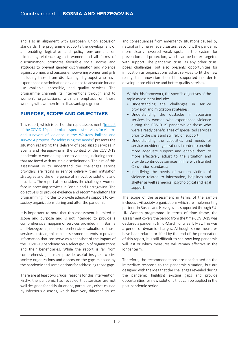and also in alignment with European Union accession standards. The programme supports the development of an enabling legislative and policy environment on eliminating violence against women and all forms of discrimination; promotes favorable social norms and attitudes to prevent gender discrimination and violence against women; and pursues empowering women and girls (including those from disadvantaged groups) who have experienced discrimination or violence to advocate for and use available, accessible, and quality services. The programme channels its interventions through and to women's organizations, with an emphasis on those working with women from disadvantaged groups.

# **PURPOSE, SCOPE AND OBJECTIVES**

This report, which is part of the rapid assessment"[Impact](https://eca.unwomen.org/en/digital-library/publications/2020/05/impact-of-the-covid-19-pandemic-on-specialist-services-for-victims-and-survivors-of-violence) of the COVID-19 pandemic on specialist services for victims [and survivors of violence in the Western Balkans and](https://eca.unwomen.org/en/digital-library/publications/2020/05/impact-of-the-covid-19-pandemic-on-specialist-services-for-victims-and-survivors-of-violence) [Turkey: A proposal for addressing the needs,](https://eca.unwomen.org/en/digital-library/publications/2020/05/impact-of-the-covid-19-pandemic-on-specialist-services-for-victims-and-survivors-of-violence)" presents the situation regarding the delivery of specialized services in Bosnia and Herzegovina in the context of the COVID-19 pandemic to women exposed to violence, including those that are faced with multiple discrimination. The aim of this assessment is to understand the challenges service providers are facing in service delivery, their mitigation strategies and the emergence of innovative solutions and practices. The report also considers the challenges women face in accessing services in Bosnia and Herzegovina. The objective is to provide evidence and recommendations for programming in order to provide adequate support to civil society organizations during and after the pandemic.

It is important to note that this assessment is limited in scope and purpose and is not intended to provide a comprehensive mapping of services provided in in Bosnia and Herzegovina, nor a comprehensive evaluation of those services. Instead, this rapid assessment intends to provide information that can serve as a snapshot of the impact of the COVID-19 pandemic on a select group of organizations and their beneficiaries. While the report is far from comprehensive, it may provide useful insights to civil society organizations and donors on the gaps exposed by the pandemic and some options for addressing those gaps.

There are at least two crucial reasons for this intervention. Firstly, the pandemic has revealed that services are not well designed for crisis situations, particularly crises caused by infectious diseases, which have very different causes

and consequences from emergency situations caused by natural or human-made disasters. Secondly, the pandemic more clearly revealed weak spots in the system for prevention and protection, which can be better targeted with support. The pandemic crisis, as any other crisis, poses challenges, but also presents opportunities for innovation as organizations adjust services to fit the new reality; this innovation should be supported in order to develop more effective and better quality services.

Within this framework, the specific objectives of the rapid assessment include:

- Understanding the challenges in service provision and mitigation strategies;
- Understanding the obstacles in accessing services by women who experienced violence during the COVID-19 pandemic or those who were already beneficiaries of specialized services prior to the crisis and still rely on support;
- Understanding the capaci�es and needs of service provider organizations in order to provide more adequate support and enable them to more effectively adjust to the situation and provide continuous services in line with Istanbul Convention standards:
- Identifying the needs of women victims of violence related to information, helplines and shelter, as well as medical, psychological and legal support.

The scope of the assessment in terms of the sample includes civil society organizations which are implementing partners in Bosnia and Herzegovina supported through EU-UN Women programme. In terms of time frame, the assessment covers the period from the time COVID-19 was declared a pandemic (mid-March) until early May. This was a period of dynamic changes. Although some measures have been relaxed or lifted by the end of the preparation of this report, it is still difficult to see how long pandemic will last or which measures will remain effective in the longer term.

Therefore, the recommendations are not focused on the immediate response to the pandemic situation, but are designed with the idea that the challenges revealed during the pandemic highlight existing gaps and provide opportunities for new solutions that can be applied in the post-pandemic period.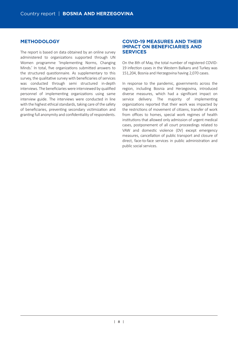# **METHODOLOGY**

The report is based on data obtained by an online survey administered to organizations supported through UN Women programme 'Implementing Norms, Changing Minds.' In total, five organizations submitted answers to the structured questionnaire. As supplementary to this survey, the qualitative survey with beneficiaries of services was conducted through semi structured in-depth interviews. The beneficiaries were interviewed by qualified personnel of implementing organizations using same interview guide. The interviews were conducted in line with the highest ethical standards, taking care of the safety of beneficiaries, preventing secondary victimization and granting full anonymity and confidentiality of respondents.

## **COVID-19 MEASURES AND THEIR IMPACT ON BENEFICIARIES AND SERVICES**

On the 8th of May, the total number of registered COVID-19 infection cases in the Western Balkans and Turkey was 151,204, Bosnia and Herzegovina having 2,070 cases.

In response to the pandemic, governments across the region, including Bosnia and Herzegovina, introduced diverse measures, which had a significant impact on service delivery. The majority of implementing organizations reported that their work was impacted by the restrictions of movement of citizens, transfer of work from offices to homes, special work regimes of health institutions that allowed only admission of urgent medical cases, postponement of all court proceedings related to VAW and domestic violence (DV) except emergency measures, cancellation of public transport and closure of direct, face-to-face services in public administration and public social services.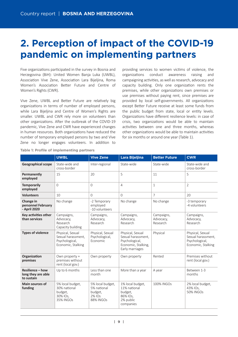# **2. Perception of impact of the COVID-19 pandemic on implementing partners**

Five organizations participated in the survey in Bosnia and Herzegovina (BiH): United Women Banja Luka (UWBL), Association Vive Zene, Association Lara Bijeljina, Roma Women's Association Better Future and Centre of Women's Rights (CWR).

Vive Zene, UWBL and Better Future are relatively big organizations in terms of number of employed persons, while Lara Bijeljina and Centre of Women's Rights are smaller. UWBL and CWR rely more on volunteers than other organizations. After the outbreak of the COVID-19 pandemic, Vive Zene and CWR have experienced changes in human resources. Both organizations have reduced the number of temporary employed persons by two and Vive Zene no longer engages volunteers. In addition to

providing services to women victims of violence, the organizations conduct awareness raising and campaigning activities, as well as research, advocacy and capacity building. Only one organization rents the premises, while other organizations own premises or use premises without paying rent, since premises are provided by local self-governments. All organizations except Better Future receive at least some funds from the public budget from state, local or entity levels. Organizations have different resilience levels: in case of crisis, two organizations would be able to maintain activities between one and three months, whereas other organizations would be able to maintain activities for six months or around one year (Table 1).

|                                                             | <b>UWBL</b>                                                                    | <b>Vive Zene</b>                                                         | Lara Bijeljina                                                                                     | <b>Better Future</b>                | <b>CWR</b>                                                                     |
|-------------------------------------------------------------|--------------------------------------------------------------------------------|--------------------------------------------------------------------------|----------------------------------------------------------------------------------------------------|-------------------------------------|--------------------------------------------------------------------------------|
| <b>Geographical scope</b>                                   | State-wide and<br>cross-border                                                 | Inter-regional                                                           | State-wide                                                                                         | State-wide                          | State-wide and<br>cross-border                                                 |
| Permanently<br>employed                                     | 15                                                                             | 20                                                                       | 5                                                                                                  | 11                                  | 5                                                                              |
| <b>Temporarily</b><br>employed                              | $\Omega$                                                                       | $\Omega$                                                                 | $\overline{4}$                                                                                     | $\mathbf{1}$                        | $\overline{2}$                                                                 |
| <b>Volunteers</b>                                           | 10                                                                             | $\Omega$                                                                 | 0                                                                                                  | $\overline{7}$                      | 20                                                                             |
| Change in<br>personnel February<br>- April 2020             | No change                                                                      | -2 Temporary<br>employed<br>-10 volunteers                               | No change                                                                                          | No change                           | -3 temporary<br>-4 volunteers                                                  |
| Key activities other<br>than services                       | Campaigns,<br>Advocacy,<br>Research<br>Capacity building                       | Campaigns,<br>Advocacy,<br>Research                                      | Campaigns,<br>Advocacy,<br>Research                                                                | Campaigns,<br>Advocacy,<br>Research | Campaigns,<br>Advocacy,<br>Research                                            |
| <b>Types of violence</b>                                    | Physical, Sexual<br>Sexual harassment.<br>Psychological,<br>Economic, Stalking | Physical, Sexual<br>Psychological,<br>Economic                           | Physical, Sexual<br>Sexual harassment.<br>Psychological,<br>Economic, Stalking,<br>Early marriages | Physical                            | Physical, Sexual<br>Sexual harassment.<br>Psychological,<br>Economic, Stalking |
| Organization<br>premises                                    | Own property +<br>premises without<br>rent (local gov.)                        | Own property                                                             | Own property                                                                                       | Rented                              | Premises without<br>rent (local gov.)                                          |
| <b>Resilience - how</b><br>long they are able<br>to sustain | Up to 6 months                                                                 | Less than one<br>month                                                   | More than a year                                                                                   | A year                              | Between 1-3<br>months                                                          |
| <b>Main sources of</b><br>funding                           | 5% local budget,<br>30% national<br>budget,<br>30% IOs,<br><b>35% INGOs</b>    | 5% local budget,<br>5% national<br>budget,<br>2% IOs<br><b>88% INGOs</b> | 1% local budget,<br>11% national<br>budget,<br>86% IOs,<br>2% public<br>companies                  | 100% INGOs                          | 2% local budget,<br>43% IOs,<br><b>50% INGOs</b>                               |

**Table 1: Profile of implementing partners**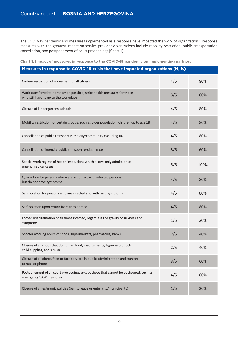The COVID-19 pandemic and measures implemented as a response have impacted the work of organizations. Response measures with the greatest impact on service provider organizations include mobility restriction, public transportation cancellation, and postponement of court proceedings (Chart 1).

|  |  |  | Chart 1: Impact of measures in response to the COVID-19 pandemic on implementing partners |  |
|--|--|--|-------------------------------------------------------------------------------------------|--|
|  |  |  |                                                                                           |  |
|  |  |  |                                                                                           |  |

| Measures in response to COVID-19 crisis that have impacted organizations (N, %)                                   |     |      |  |  |  |  |  |  |
|-------------------------------------------------------------------------------------------------------------------|-----|------|--|--|--|--|--|--|
| Curfew, restriction of movement of all citizens                                                                   | 4/5 | 80%  |  |  |  |  |  |  |
| Work transferred to home when possible; strict health measures for those<br>who still have to go to the workplace | 3/5 | 60%  |  |  |  |  |  |  |
| Closure of kindergartens, schools                                                                                 | 4/5 | 80%  |  |  |  |  |  |  |
| Mobility restriction for certain groups, such as older population, children up to age 18                          | 4/5 | 80%  |  |  |  |  |  |  |
| Cancellation of public transport in the city/community excluding taxi                                             | 4/5 | 80%  |  |  |  |  |  |  |
| Cancellation of intercity public transport, excluding taxi                                                        | 3/5 | 60%  |  |  |  |  |  |  |
| Special work regime of health institutions which allows only admission of<br>urgent medical cases                 | 5/5 | 100% |  |  |  |  |  |  |
| Quarantine for persons who were in contact with infected persons<br>but do not have symptoms                      | 4/5 | 80%  |  |  |  |  |  |  |
| Self-isolation for persons who are infected and with mild symptoms                                                | 4/5 | 80%  |  |  |  |  |  |  |
| Self-isolation upon return from trips abroad                                                                      | 4/5 | 80%  |  |  |  |  |  |  |
| Forced hospitalization of all those infected, regardless the gravity of sickness and<br>symptoms                  | 1/5 | 20%  |  |  |  |  |  |  |
| Shorter working hours of shops, supermarkets, pharmacies, banks                                                   | 2/5 | 40%  |  |  |  |  |  |  |
| Closure of all shops that do not sell food, medicaments, hygiene products,<br>child supplies, and similar         | 2/5 | 40%  |  |  |  |  |  |  |
| Closure of all direct, face-to-face services in public administration and transfer<br>to mail or phone            | 3/5 | 60%  |  |  |  |  |  |  |
| Postponement of all court proceedings except those that cannot be postponed, such as<br>emergency VAW measures    | 4/5 | 80%  |  |  |  |  |  |  |
| Closure of cities/municipalities (ban to leave or enter city/municipality)                                        | 1/5 | 20%  |  |  |  |  |  |  |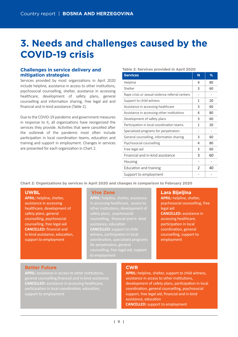# **3. Needs and challenges caused by the COVID-19 crisis**

## **Challenges in service delivery and mitigation strategies**

Services provided by most organizations in April 2020 include helpline, assistance in access to other institutions, psychosocial counselling, shelter, assistance in accessing healthcare, development of safety plans, general counselling and information sharing, free legal aid and financial and in-kind assistance (Table 2).

Due to the COVID-19 pandemic and government measures in response to it, all organizations have reorganized the services they provide. Activities that were cancelled after the outbreak of the pandemic most often include participation in local coordination teams, education and training and support in employment. Changes in services are presented for each organization in Chart 2.

#### **Table 2: Services provided in April 2020**

| <b>Services</b>                                 | N | %  |
|-------------------------------------------------|---|----|
| Helpline                                        | 4 | 80 |
| Shelter                                         | 3 | 60 |
| Rape crisis or sexual violence referral centers |   |    |
| Support to child witness                        | 1 | 20 |
| Assistance in accessing healthcare              | 3 | 60 |
| Assistance in accessing other institutions      | 4 | 80 |
| Development of safety plans                     | 3 | 60 |
| Participation in local coordination teams       | 1 | 20 |
| Specialized programs for perpetrators           |   |    |
| General counselling, information sharing        | 3 | 60 |
| Psychosocial counselling                        | 4 | 80 |
| Free legal aid                                  | 3 | 60 |
| Financial and in-kind assistance                | 3 | 60 |
| Housing                                         |   |    |
| Education and training                          | 2 | 40 |
| Support to employment                           |   |    |

**Chart 2: Organizations by services in April 2020 and changes in comparison to February 2020**

## **UWBL**

**APRIL:** helpline, shelter, assistance in accessing healthcare, development of safety plans, general counselling, psychosocial counselling, free legal aid **CANCELLED:** financial and in-kind assistance, education, support to employment

#### **Vive Zene**

**APRIL:** helpline, shelter, assistance in accessing healthcare, access to other institutions, development of counselling, financial and in -kind assistance, education **CANCELLED:** support to child witness, participation in local for perpetrators, general counselling, free legal aid, support

## **Lara Bijeljina**

**APRIL:** helpline, shelter, psychosocial counselling, free legal aid **CANCELLED:** assistance in accessing healthcare, participation in local coordination, general counselling, support to employment

## **Better Future**

**APRIL:** assistance in access to other institutions. general counselling,financial and in-kind assistance **CANCELLED:** assistance in accessing healthcare, participation in local coordination, education,

## **CWR**

**APRIL:** helpline, shelter, support to child witness, assistance in access to other institutions, development of safety plans, participation in local coordination, general counselling, psychosocial support, free legal aid, financial and in-kind assistance, education **CANCELLED:** support to employment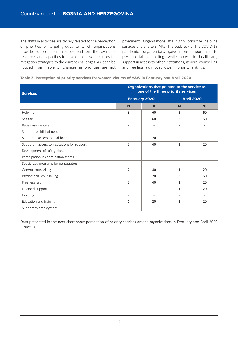The shifts in activities are closely related to the perception of priorities of target groups to which organizations provide support, but also depend on the available resources and capacities to develop somewhat successful mitigation strategies to the current challenges. As it can be noticed from Table 3, changes in priorities are not prominent. Organizations still highly prioritize helpline services and shelters. After the outbreak of the COVID-19 pandemic, organizations gave more importance to psychosocial counselling, while access to healthcare, support in access to other institutions, general counselling and free legal aid moved lower in priority rankings.

### **Table 3: Perception of priority services for women victims of VAW in February and April 2020**

| <b>Services</b>                               | Organizations that pointed to the service as<br>one of the three priority services |                          |                          |    |  |  |  |
|-----------------------------------------------|------------------------------------------------------------------------------------|--------------------------|--------------------------|----|--|--|--|
|                                               |                                                                                    | <b>February 2020</b>     | <b>April 2020</b>        |    |  |  |  |
|                                               | N                                                                                  | %                        | N                        | %  |  |  |  |
| Helpline                                      | 3                                                                                  | 60                       | 3                        | 60 |  |  |  |
| Shelter                                       | 3                                                                                  | 60                       | 3                        | 60 |  |  |  |
| Rape crisis centers                           | $\overline{\phantom{0}}$                                                           | $\overline{\phantom{a}}$ | $\overline{\phantom{a}}$ |    |  |  |  |
| Support to child witness                      | $\overline{a}$                                                                     | $\overline{\phantom{a}}$ | $\overline{\phantom{a}}$ |    |  |  |  |
| Support in access to healthcare               | 1                                                                                  | 20                       | $\overline{\phantom{0}}$ |    |  |  |  |
| Support in access to institutions for support | $\overline{2}$                                                                     | 40                       | $\mathbf{1}$             | 20 |  |  |  |
| Development of safety plans                   |                                                                                    | $\overline{\phantom{a}}$ |                          |    |  |  |  |
| Participation in coordination teams           | $\overline{\phantom{0}}$                                                           | $\overline{\phantom{a}}$ | $\overline{a}$           |    |  |  |  |
| Specialized programs for perpetrators         | $\overline{\phantom{0}}$                                                           | $\overline{\phantom{a}}$ | $\overline{\phantom{a}}$ |    |  |  |  |
| General counselling                           | $\overline{2}$                                                                     | 40                       | 1                        | 20 |  |  |  |
| Psychosocial counselling                      | $\mathbf{1}$                                                                       | 20                       | 3                        | 60 |  |  |  |
| Free legal aid                                | $\overline{2}$                                                                     | 40                       | $\mathbf{1}$             | 20 |  |  |  |
| Financial support                             | $\overline{a}$                                                                     | $\overline{a}$           | 1                        | 20 |  |  |  |
| Housing                                       | $\overline{\phantom{0}}$                                                           | $\overline{\phantom{a}}$ | $\overline{\phantom{0}}$ |    |  |  |  |
| Education and training                        | $\mathbf{1}$                                                                       | 20                       | $\mathbf{1}$             | 20 |  |  |  |
| Support to employment                         | $\overline{a}$                                                                     | $\overline{\phantom{a}}$ | $\overline{\phantom{a}}$ |    |  |  |  |

Data presented in the next chart show perception of priority services among organizations in February and April 2020 (Chart 3).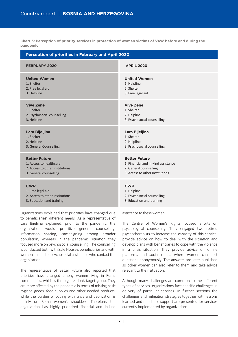**Chart 3: Perception of priority services in protection of women victims of VAW before and during the pandemic**

| <b>Perception of priorities in February and April 2020</b> |                                     |  |  |  |  |  |  |
|------------------------------------------------------------|-------------------------------------|--|--|--|--|--|--|
| <b>FEBRUARY 2020</b>                                       | <b>APRIL 2020</b>                   |  |  |  |  |  |  |
| <b>United Women</b>                                        | <b>United Women</b>                 |  |  |  |  |  |  |
| 1. Shelter                                                 | 1. Helpline                         |  |  |  |  |  |  |
| 2. Free legal aid                                          | 2. Shelter                          |  |  |  |  |  |  |
| 3. Helpline                                                | 3. Free legal aid                   |  |  |  |  |  |  |
| <b>Vive Zene</b>                                           | <b>Vive Zene</b>                    |  |  |  |  |  |  |
| 1. Shelter                                                 | 1. Shelter                          |  |  |  |  |  |  |
| 2. Psychosocial counselling                                | 2. Helpline                         |  |  |  |  |  |  |
| 3. Helpline                                                | 3. Psychosocial counselling         |  |  |  |  |  |  |
| Lara Bijeljina                                             | Lara Bijeljina                      |  |  |  |  |  |  |
| 1. Shelter                                                 | 1. Shelter                          |  |  |  |  |  |  |
| 2. Helpline                                                | 2. Helpline                         |  |  |  |  |  |  |
| 3. General Counselling                                     | 3. Psychosocial counselling         |  |  |  |  |  |  |
| <b>Better Future</b>                                       | <b>Better Future</b>                |  |  |  |  |  |  |
| 1. Access to healthcare                                    | 1. Financial and in-kind assistance |  |  |  |  |  |  |
| 2. Access to other institutions                            | 2. General counselling              |  |  |  |  |  |  |
| 3. General counselling                                     | 3. Access to other institutions     |  |  |  |  |  |  |
| <b>CWR</b>                                                 | <b>CWR</b>                          |  |  |  |  |  |  |
| 1. Free legal aid                                          | 1. Helpline                         |  |  |  |  |  |  |
| 2. Access to other institutions                            | 2. Psychosocial counselling         |  |  |  |  |  |  |
| 3. Education and training                                  | 3. Education and training           |  |  |  |  |  |  |

Organizations explained that priorities have changed due to beneficiaries' different needs. As a representative of Lara Bijeljina explained, prior to the pandemic, the organization would prioritize general counselling, information sharing, campaigning among broader population, whereas in the pandemic situation they focused more on psychosocial counselling. The counselling is conducted both with Safe House's beneficiaries and with women in need of psychosocial assistance who contact the organization.

The representative of Better Future also reported that priori�es have changed among women living in Roma communities, which is the organization's target group. They are more affected by the pandemic in terms of missing basic hygiene goods, food supplies and other needed products, while the burden of coping with crisis and deprivation is mainly on Roma women's shoulders. Therefore, the organization has highly prioritized financial and in-kind assistance to these women.

The Centre of Women's Rights focused efforts on psychological counselling. They engaged two retired psychotherapists to increase the capacity of this service, provide advice on how to deal with the situation and develop plans with beneficiaries to cope with the violence in a crisis situation. They provide advice on online platforms and social media where women can post questions anonymously. The answers are later published so other women can also refer to them and take advice relevant to their situation

Although many challenges are common to the different types of services, organizations face specific challenges in delivery of particular services. In further sections the challenges and mitigation strategies together with lessons learned and needs for support are presented for services currently implemented by organizations.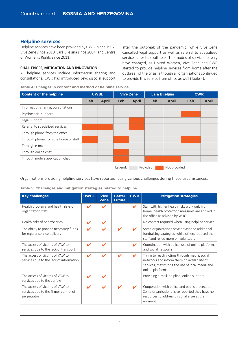## **Helpline services**

Helpline services have been provided by UWBL since 1997, Vive Zene since 2010, Lara Bijeljina since 2004, and Centre of Women's Rights since 2011.

### **CHALLENGES, MITIGATION AND INNOVATION**

All helpline services include information sharing and consultations. CWR has introduced psychosocial support

**Table 4: Changes in content and method of helpline service**

after the outbreak of the pandemic, while Vive Zene cancelled legal support as well as referral to specialized services after the outbreak. The modes of service delivery have changed, as United Women, Vive Zene and CWR started to provide helpline services from home after the outbreak of the crisis, although all organizations continued to provide this service from office as well (Table 4).

| <b>Content of the helpline</b>       | <b>UWBL</b> |              | <b>Vive Zene</b> |              | Lara Bijeljina |              | <b>CWR</b> |              |
|--------------------------------------|-------------|--------------|------------------|--------------|----------------|--------------|------------|--------------|
|                                      | Feb         | <b>April</b> | <b>Feb</b>       | <b>April</b> | Feb            | <b>April</b> | Feb        | <b>April</b> |
| Information sharing, consultations   |             |              |                  |              |                |              |            |              |
| Psychosocial support                 |             |              |                  |              |                |              |            |              |
| Legal support                        |             |              |                  |              |                |              |            |              |
| Referral to specialized services     |             |              |                  |              |                |              |            |              |
| Through phone from the office        |             |              |                  |              |                |              |            |              |
| Through phone from the home of staff |             |              |                  |              |                |              |            |              |
| Through e-mail                       |             |              |                  |              |                |              |            |              |
| Through online chat                  |             |              |                  |              |                |              |            |              |
| Through mobile application chat      |             |              |                  |              |                |              |            |              |
|                                      |             |              | Legend:          |              | Provided       | Not provided |            |              |

Organizations providing helpline services have reported facing various challenges during these circumstances.

**Table 5: Challenges and mitigation strategies related to helpline**

| <b>Key challenges</b>                                                                   | <b>UWBL</b> | <b>Vive</b><br><b>Zene</b> | <b>Better</b><br><b>Future</b> | <b>CWR</b> | <b>Mitigation strategies</b>                                                                                                                                        |
|-----------------------------------------------------------------------------------------|-------------|----------------------------|--------------------------------|------------|---------------------------------------------------------------------------------------------------------------------------------------------------------------------|
| Health problems and health risks of<br>organization staff                               |             | ✔                          |                                | ✔          | Staff with higher health risks work only from<br>home, health protection measures are applied in<br>the office as advised by WHO                                    |
| Health risks of beneficiaries                                                           |             | ✔                          |                                |            | No contact required when using helpline service                                                                                                                     |
| The ability to provide necessary funds<br>for regular service delivery                  |             | ✔                          |                                |            | Some organizations have developed additional<br>fundraising strategies, while others reduced their<br>staff and relied more on volunteers                           |
| The access of victims of VAW to<br>services due to the lack of transport                | ✔           | ✔                          |                                |            | Coordination with police, use of online platforms<br>and social networks                                                                                            |
| The access of victims of VAW to<br>services due to the lack of information              |             |                            |                                |            | Trying to reach victims through media, social<br>networks and inform them on availability of<br>services, maximizing the use of local media and<br>online platforms |
| The access of victims of VAW to<br>services due to the curfew                           |             |                            |                                |            | Providing e-mail, helpline, online support                                                                                                                          |
| The access of victims of VAW to<br>services due to the firmer control of<br>perpetrator |             |                            |                                |            | Cooperation with police and public prosecutor.<br>Some organizations have reported they have no<br>resources to address this challenge at the<br>moment             |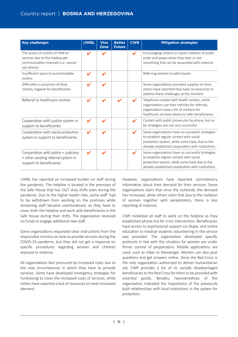| <b>Key challenges</b>                                                                                                  | <b>UWBL</b>                | <b>Vive</b><br><b>Zene</b> | <b>Better</b><br><b>Future</b> | <b>CWR</b> | <b>Mitigation strategies</b>                                                                                                                                                                        |
|------------------------------------------------------------------------------------------------------------------------|----------------------------|----------------------------|--------------------------------|------------|-----------------------------------------------------------------------------------------------------------------------------------------------------------------------------------------------------|
| The access of victims of VAW to<br>services due to the inadequate<br>communication channels (i.e. cannot<br>use phone) | ✔                          | ✔                          |                                | ✔          | Encouraging citizens to report violation of public<br>order and peace when they hear or see<br>something that can be associated with violence                                                       |
| Insufficient space to accommodate<br>victims                                                                           | V                          | V                          |                                |            | Referring women to safe houses                                                                                                                                                                      |
| Difficulties in provision of food,<br>clothes, hygiene for beneficiaries                                               |                            | V                          |                                |            | Some organizations provided supplies on time,<br>others have reported they have no resources to<br>address these challenges at the moment                                                           |
| Referral to healthcare centres                                                                                         | V                          | ✔                          |                                |            | Telephone contact with health centers, some<br>organizations use their vehicles for referrals,<br>organizations have a list of contacts for<br>healthcare services where to refer beneficiaries     |
| Cooperation with justice system in<br>support to beneficiaries                                                         | V                          | V                          |                                | ✔          | Contact with public prosecutor by phone, but so<br>far strategies are not very successful                                                                                                           |
| Cooperation with social protection<br>system in support to beneficiaries                                               | ✔                          | V                          |                                | ✔          | Some organizations have no successful strategies<br>to establish regular contact with social<br>protection system, while some have, due to the<br>already established cooperation with institutions |
| Cooperation with police + judiciary<br>+ other existing referral system in<br>support to beneficiaries                 | $\boldsymbol{\mathcal{L}}$ | V                          |                                | V          | Some organizations have no successful strategies<br>to establish regular contact with social<br>protection system, while some have due to the<br>already established cooperation with institutions  |

UWBL has reported an increased burden on staff during the pandemic. The helpline is located in the premises of the Safe House that has 24/7 duty shifts even during the pandemic. Due to the higher health risks, some staff had to be withdrawn from working on the premises while remaining staff became overburdened, as they have to cover both the helpline and work with beneficiaries in the Safe House during their shifts. The organization received no funds to engage additional new staff.

Some organizations requested clear instructions from the responsible ministry on how to provide services during the COVID-19 pandemic, but they did not get a response on specific procedures regarding women and children exposed to violence.

All organizations feel pressured by increased costs due to the new circumstances in which they have to provide services. Some have developed emergency strategies for fundraising to cover the increased costs of services, while others have reported a lack of resources to meet increased demand.

However, organizations have reported contradictory information about their demand for their services. Some organizations claim that since the outbreak, the demand has increased, while others claim that due to the isolation of women together with perpetrators, there is less reporting of violence.

CWR mobilized all staff to work on the helpline as they established phone line for crisis intervention. Beneficiaries have access to psychosocial support via Skype, and online education to medical students volunteering in the service was provided. The organization developed specific protocols in line with the situation for women are under firmer control of perpetrators. Mobile applications are used, such as Viber or Messenger. Women can also post questions and get answers online. Since the Red Cross is the only organization authorized to deliver humanitarian aid, CWR provides a list of its socially disadvantaged beneficiaries to the Red Cross for them to be provided with essential goods. Besides, representatives of the organization indicated the importance of the previously built relationships with local institutions in the system for protection.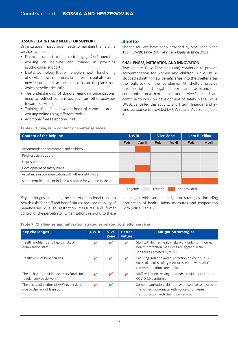#### **LESSONS LEARNT AND NEEDS FOR SUPPORT**

Organizations' most crucial needs to maintain the helpline service include:

- Financial support to be able to engage 24/7 operators working on helpline and trained in providing psychological support;
- Digital technology that will enable smooth functioning of service (new computers, fast internet), but also some new features, such as the ability to locate the place from which beneficiaries call;
- The understanding of donors regarding organizations' need to redirect some resources from other activities towards services;
- Training of staff in new methods of communication, working online using different tools;
- Additional free telephone lines.

#### **Table 6: Changes in content of shelter services**

## **Shelter**

Shelter services have been provided by Vive Zene since 1997, UWBL since 2007 and Lara Bijeljina since 2011.

#### **CHALLENGES, MITIGATION AND INNOVATION**

Two shelters (Vive Zene and Lara) continued to provide accommodation for women and children, while UWBL stopped admitting new beneficiaries into the shelter after the outbreak of the pandemic. All shelters provide psychosocial and legal support and assistance in communication with other institutions. Vive Zene and Lara continue to work on development of safety plans, while UWBL cancelled this activity. Short term financial and inkind assistance is provided by UWBL and Vive Zene (Table 6).

| <b>Content of the helpline</b>                                  | <b>UWBL</b> |              | <b>Vive Zene</b> |              | Lara Bijeljina |              |
|-----------------------------------------------------------------|-------------|--------------|------------------|--------------|----------------|--------------|
|                                                                 | Feb         | <b>April</b> | <b>Feb</b>       | <b>April</b> | Feb            | <b>April</b> |
| Accommodation for women and children                            |             |              |                  |              |                |              |
| Psychosocial support                                            |             |              |                  |              |                |              |
| Legal support                                                   |             |              |                  |              |                |              |
| Development of safety plans                                     |             |              |                  |              |                |              |
| Assistance in communication with other institutions             |             |              |                  |              |                |              |
| Short term financial or in-kind assistance for women in shelter |             |              |                  |              |                |              |
|                                                                 | Legend:     |              | Provided         |              | Not provided   |              |

Key challenges in keeping the shelter operational relate to health risks for staff and beneficiaries, reduced mobility of beneficiaries due to restriction measures and firmer control of the perpetrator. Organizations respond to these

challenges with various mitigation strategies, including application of health safety measures and cooperation with police (Table 7).

**Table 7: Challenges and mitigation strategies related to shelter services**

| <b>Key challenges</b>                                                    | <b>UWBL</b> | <b>Vive</b><br><b>Zene</b> | <b>Better</b><br><b>Future</b> | <b>Mitigation strategies</b>                                                                                                                    |
|--------------------------------------------------------------------------|-------------|----------------------------|--------------------------------|-------------------------------------------------------------------------------------------------------------------------------------------------|
| Health problems and health risks of<br>organization staff                |             |                            | v                              | Staff with higher health risks work only from home,<br>health protection measures are applied in the<br>shelters as advised by WHO              |
| Health risks of beneficiaries                                            |             |                            |                                | Ensuring isolation and disinfection on continuous<br>basis, all health safety measures in line with WHO<br>recommendations are in place         |
| The ability to provide necessary funds for<br>regular service delivery   |             |                            |                                | Staff reduction, relying on funds provided prior to the<br>COVID-19 pandemic                                                                    |
| The access of victims of VAW to services<br>due to the lack of transport |             | ✔                          |                                | Some organizations do not have response to address<br>this, others coordinate with police or organize<br>transportation with their own vehicles |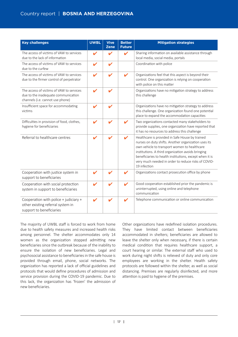| <b>Key challenges</b>                                                                                               | <b>UWBL</b>                | <b>Vive</b><br><b>Zene</b> | <b>Better</b><br><b>Future</b> | <b>Mitigation strategies</b>                                                                                                                                                                                                                                                                                                                    |
|---------------------------------------------------------------------------------------------------------------------|----------------------------|----------------------------|--------------------------------|-------------------------------------------------------------------------------------------------------------------------------------------------------------------------------------------------------------------------------------------------------------------------------------------------------------------------------------------------|
| The access of victims of VAW to services<br>due to the lack of information                                          | $\boldsymbol{\nu}$         | ✔                          | $\boldsymbol{\mathcal{U}}$     | Sharing information on available assistance through<br>local media, social media, portals                                                                                                                                                                                                                                                       |
| The access of victims of VAW to services<br>due to the curfew                                                       | $\boldsymbol{\mathcal{U}}$ | V                          |                                | Coordination with police                                                                                                                                                                                                                                                                                                                        |
| The access of victims of VAW to services<br>due to the firmer control of perpetrator                                | V                          | ✔                          | V                              | Organizations feel that this aspect is beyond their<br>control. One organization is relying on cooperation<br>with police on this matter                                                                                                                                                                                                        |
| The access of victims of VAW to services<br>due to the inadequate communication<br>channels (i.e. cannot use phone) | V                          |                            |                                | Organizations have no mitigation strategy to address<br>this challenge                                                                                                                                                                                                                                                                          |
| Insufficient space for accommodating<br>victims                                                                     | V                          | v                          |                                | Organizations have no mitigation strategy to address<br>this challenge. One organization found one potential<br>place to expand the accommodation capacities                                                                                                                                                                                    |
| Difficulties in provision of food, clothes,<br>hygiene for beneficiaries                                            |                            |                            |                                | Two organizations contacted many stakeholders to<br>provide supplies, one organization have reported that<br>it has no resources to address this challenge                                                                                                                                                                                      |
| Referral to healthcare centres                                                                                      | V                          |                            | $\boldsymbol{\nu}$             | Healthcare is provided in Safe House by trained<br>nurses on duty shifts. Another organization uses its<br>own vehicle to transport women to healthcare<br>institutions. A third organization avoids bringing<br>beneficiaries to health institutions, except when it is<br>very much needed in order to reduce risks of COVID-<br>19 infection |
| Cooperation with justice system in<br>support to beneficiaries                                                      |                            |                            | V                              | Organizations contact prosecution office by phone                                                                                                                                                                                                                                                                                               |
| Cooperation with social protection<br>system in support to beneficiaries                                            |                            |                            | $\boldsymbol{\nu}$             | Good cooperation established prior the pandemic is<br>uninterrupted, using online and telephone<br>communication                                                                                                                                                                                                                                |
| Cooperation with police + judiciary +<br>other existing referral system in<br>support to beneficiaries              | ✔                          |                            | $\boldsymbol{\mathcal{U}}$     | Telephone communication or online communication                                                                                                                                                                                                                                                                                                 |

The majority of UWBL staff is forced to work from home due to health safety measures and increased health risks among personnel. The shelter accommodates only 14 women as the organization stopped admitting new beneficiaries since the outbreak because of the inability to ensure the isolation of new beneficiaries. Legal and psychosocial assistance to beneficiaries in the safe house is provided through email, phone, social networks. The organization has reported a lack of official guidelines and protocols that would define procedures of admission and service provision during the COVID-19 pandemic. Due to this lack, the organization has 'frozen' the admission of new beneficiaries.

Other organizations have redefined isolation procedures. They have limited contact between beneficiaries accommodated in shelters; beneficiaries are allowed to leave the shelter only when necessary, if there is certain medical condition that requires healthcare support, a court hearing or similar. The external staff who used to work during night shifts is relieved of duty and only core employees are working in the shelter. Health safety protocols are followed within the shelter, as well as social distancing. Premises are regularly disinfected, and more attention is paid to hygiene of the premises.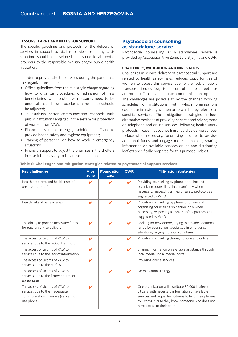#### **LESSONS LEARNT AND NEEDS FOR SUPPORT**

The specific guidelines and protocols for the delivery of services in support to victims of violence during crisis situations should be developed and issued to all service providers by the responsible ministry and/or public health institutions.

In order to provide shelter services during the pandemic, the organizations need:

- Official guidelines from the ministry in charge regarding how to organize procedures of admission of new beneficiaries, what protective measures need to be undertaken, and how procedures in the shelters should be adjusted:
- To establish better communication channels with public institutions engaged in the system for protection of women from VAW;
- Financial assistance to engage additional staff and to provide health safety and hygiene equipment;
- Training of personnel on how to work in emergency situations:
- Financial support to adjust the premises in the shelters in case it is necessary to isolate some persons.

## **Psychosocial counselling as standalone service**

Psychosocial counselling as a standalone service is provided by Association Vive Zene, Lara Bijeljina and CWR.

### **CHALLENGES, MITIGATION AND INNOVATION**

Challenges in service delivery of psychosocial support are related to health safety risks, reduced opportunities of women to access this service due to the lack of public transportation, curfew, firmer control of the perpetrator and/or insufficiently adequate communication options. The challenges are posed also by the changed working schedules of institutions with which organizations cooperate in assisting women or to which they refer to for specific services. The mitigation strategies include alternative methods of providing services and relying more on telephone and online services, following health safety protocols in case that counselling should be delivered faceto-face when necessary, fundraising in order to provide additional funds and engage more counselors, sharing information on available services online and distributing leaflets specifically prepared for this purpose (Table 8).

| <b>Key challenges</b>                                                                                                  | <b>Vive</b><br>zene        | <b>Foundation</b><br>Lara | <b>CWR</b>                 | <b>Mitigation strategies</b>                                                                                                                                                                                                                        |
|------------------------------------------------------------------------------------------------------------------------|----------------------------|---------------------------|----------------------------|-----------------------------------------------------------------------------------------------------------------------------------------------------------------------------------------------------------------------------------------------------|
| Health problems and health risks of<br>organization staff                                                              | V                          | V                         | ✔                          | Providing counselling by phone or online and<br>organizing counselling 'in person' only when<br>necessary, respecting all health safety protocols as<br>suggested by WHO                                                                            |
| Health risks of beneficiaries                                                                                          | V                          | V                         | ✔                          | Providing counselling by phone or online and<br>organizing counselling 'in person' only when<br>necessary, respecting all health safety protocols as<br>suggested by WHO                                                                            |
| The ability to provide necessary funds<br>for regular service delivery                                                 | $\boldsymbol{\mathscr{L}}$ | V                         |                            | Looking for new donors, trying to provide additional<br>funds for counsellors specialized in emergency<br>situations, relying more on volunteers                                                                                                    |
| The access of victims of VAW to<br>services due to the lack of transport                                               | ✔                          |                           | V                          | Providing counselling through phone and online                                                                                                                                                                                                      |
| The access of victims of VAW to<br>services due to the lack of information                                             | ✔                          | ✔                         | $\boldsymbol{\mathcal{U}}$ | Sharing information on available assistance through<br>local media, social media, portals                                                                                                                                                           |
| The access of victims of VAW to<br>services due to the curfew                                                          | $\boldsymbol{\mathscr{C}}$ |                           |                            | Providing online services                                                                                                                                                                                                                           |
| The access of victims of VAW to<br>services due to the firmer control of<br>perpetrator                                |                            | V                         |                            | No mitigation strategy                                                                                                                                                                                                                              |
| The access of victims of VAW to<br>services due to the inadequate<br>communication channels (i.e. cannot<br>use phone) | ✔                          |                           | V                          | One organization will distribute 30,000 leaflets to<br>citizens with necessary information on available<br>services and requesting citizens to lend their phones<br>to victims in case they know someone who does not<br>have access to their phone |

**Table 8: Challenges and mitigation strategies related to psychosocial support services**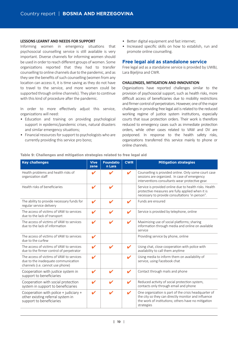#### **LESSONS LEARNT AND NEEDS FOR SUPPORT**

Informing women in emergency situations that psychosocial counselling service is still available is very important. Diverse channels for informing women should be used in order to reach different groups of women. Some organizations reported that they had to transfer counselling to online channels due to the pandemic, and as they see the benefits of such counselling (women from any location can access it, it is time saving as they do not have to travel to the service, and more women could be supported through online channels). They plan to continue with this kind of procedure after the pandemic.

In order to more effectively adjust this service, organizations will need:

- Education and training on providing psychological support in epidemic/pandemic crises, natural disasters and similar emergency situations;
- Financial resources for support to psychologists who are currently providing this service pro bono;
- Better digital equipment and fast internet;
- Increased specific skills on how to establish, run and promote online counselling.

## **Free legal aid as standalone service**

Free legal aid as a standalone service is provided by UWBJ, Lara Bijeljina and CWR.

#### **CHALLENGES, MITIGATION AND INNOVATION**

Organizations have reported challenges similar to the provision of psychosocial support, such as health risks, more difficult access of beneficiaries due to mobility restrictions and firmer control of perpetrators. However, one of the major challenges in providing free legal aid is related to the reduced working regime of justice system institutions, especially courts that issue protection orders. Their work is therefore reduced to emergency cases such as immediate protection orders, while other cases related to VAW and DV are postponed. In response to the health safety risks, organizations transferred this service mainly to phone or online channels.

| <b>Key challenges</b>                                                                                               | <b>Vive</b><br>zene        | <b>Foundatio</b><br>n Lara | <b>CWR</b>                 | <b>Mitigation strategies</b>                                                                                                                                                      |
|---------------------------------------------------------------------------------------------------------------------|----------------------------|----------------------------|----------------------------|-----------------------------------------------------------------------------------------------------------------------------------------------------------------------------------|
| Health problems and health risks of<br>organization staff                                                           | ✔                          | V                          | ✔                          | Counselling is provided online. Only some court case<br>sessions are organized. In case of emergency<br>interventions consultants wear protective gear.                           |
| Health risks of beneficiaries                                                                                       | $\boldsymbol{\mathscr{L}}$ | V                          |                            | Service is provided online due to health risks. Health<br>protective measures are fully applied when it is<br>necessary to provide consultations 'in person".                     |
| The ability to provide necessary funds for<br>regular service delivery                                              | $\mathbf{v}$               | ✔                          | $\boldsymbol{\mathcal{L}}$ | Funds are ensured                                                                                                                                                                 |
| The access of victims of VAW to services<br>due to the lack of transport                                            | $\boldsymbol{\mathscr{L}}$ | V                          | ✔                          | Service is provided by telephone, online                                                                                                                                          |
| The access of victims of VAW to services<br>due to the lack of information                                          | $\boldsymbol{\mathscr{L}}$ | ✔                          | $\mathbf{v}$               | Maximizing use of social platforms; sharing<br>information through media and online on available<br>service                                                                       |
| The access of victims of VAW to services<br>due to the curfew                                                       | V                          |                            |                            | Providing service by phone, online                                                                                                                                                |
| The access of victims of VAW to services<br>due to the firmer control of perpetrator                                | $\boldsymbol{\mathscr{L}}$ | ✔                          | V                          | Using chat, close cooperation with police with<br>availability to call them anytime                                                                                               |
| The access of victims of VAW to services<br>due to the inadequate communication<br>channels (i.e. cannot use phone) | $\boldsymbol{\mathscr{L}}$ |                            | ✔                          | Using media to inform them on availability of<br>service, using Facebook chat                                                                                                     |
| Cooperation with justice system in<br>support to beneficiaries                                                      | $\boldsymbol{\mathcal{U}}$ | V                          | ✔                          | Contact through mails and phone                                                                                                                                                   |
| Cooperation with social protection<br>system in support to beneficiaries                                            | ✔                          | ı                          | ✔                          | Reduced activity of social protection system,<br>contacts only through email and phone                                                                                            |
| Cooperation with police + judiciary +<br>other existing referral system in<br>support to beneficiaries              | $\mathbf{v}$               | V                          | ✔                          | One organization is part of the crisis headquarter of<br>the city so they can directly monitor and influence<br>the work of institutions; others have no mitigation<br>strategies |

#### **Table 9: Challenges and mitigation strategies related to free legal aid**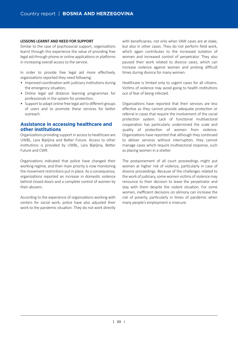#### **LESSONS LEARNT AND NEED FOR SUPPORT**

Similar to the case of psychosocial support, organizations learnt through this experience the value of providing free legal aid through phone or online applications or platforms in increasing overall access to the service.

In order to provide free legal aid more effectively, organizations reported they need following:

- Improved coordination with judiciary institutions during the emergency situation;
- Online legal aid distance learning programmes for professionals in the system for protection;
- Support to adapt online free legal aid to different groups of users and to promote these services for better outreach.

## **Assistance in accessing healthcare and other institutions**

Organizations providing support in access to healthcare are UWBL, Lara Bijelijna and Better Future. Access to other institutions is provided by UWBL, Lara Bijeljina, Better Future and CWR.

Organizations indicated that police have changed their working regime, and their main priority is now monitoring the movement restrictions put in place. As a consequence, organizations reported an increase in domestic violence behind closed doors and a complete control of women by their abusers.

According to the experience of organizations working with centers for social work, police have also adjusted their work to the pandemic situation. They do not work directly with beneficiaries, not only when VAW cases are at stake, but also in other cases. They do not perform field work, which again contributes to the increased isolation of women and increased control of perpetrator. They also paused their work related to divorce cases, which can increase violence against women and prolong difficult times during divorce for many women.

Healthcare is limited only to urgent cases for all citizens. Victims of violence may avoid going to health institutions out of fear of being infected.

Organizations have reported that their services are less effective as they cannot provide adequate protection or referral in cases that require the involvement of the social protection system. Lack of functional multisectoral cooperation has particularly undermined the scale and quality of protection of women from violence. Organizations have reported that although they continued to deliver services without interruption, they cannot manage cases which require multisectoral response, such as placing women in a shelter.

The postponement of all court proceedings might put women at higher risk of violence, particularly in case of divorce proceedings. Because of the challenges related to the work of judiciary, some women victims of violence may renounce to their decision to leave the perpetrator and stay with them despite the violent situation. For some women, inefficient decisions on alimony can increase the risk of poverty, particularly in times of pandemic when many people's employment is insecure.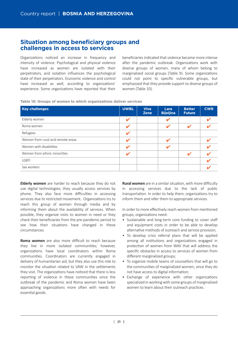# **Situation among beneficiary groups and challenges in access to services**

Organizations noticed an increase in frequency and intensity of violence. Psychological and physical violence have increased as women are isolated with their perpetrators, and isolation influences the psychological state of their perpetrators. Economic violence and control have increased as well, according to organizations' experience. Some organizations have reported that their

beneficiaries indicated that violence became more intense after the pandemic outbreak. Organizations work with diverse groups of women, many of whom belong to marginalized social groups (Table 9). Some organizations could not point to specific vulnerable groups, but emphasized that they provide support to diverse groups of women (Table 10).

|  |  |  |  |  |  |  | Table 10: Groups of women to which organizations deliver services |  |  |
|--|--|--|--|--|--|--|-------------------------------------------------------------------|--|--|
|--|--|--|--|--|--|--|-------------------------------------------------------------------|--|--|

| <b>Key challenges</b>             | <b>UWBL</b> | <b>Vive</b><br><b>Zene</b> | Lara<br><b>Bijeljina</b> | <b>Better</b><br><b>Future</b> | <b>CWR</b> |
|-----------------------------------|-------------|----------------------------|--------------------------|--------------------------------|------------|
| Elderly women                     |             |                            |                          |                                |            |
| Roma women                        |             |                            |                          |                                |            |
| Refugees                          | v           |                            |                          |                                |            |
| Women from rural and remote areas | J           |                            |                          |                                |            |
| Women with disabilities           | J           |                            |                          |                                |            |
| Women from ethnic minorities      | ້           |                            |                          |                                |            |
| <b>LGBTI</b>                      |             |                            |                          |                                |            |
| Sex workers                       |             |                            |                          |                                |            |

**Elderly women** are harder to reach because they do not use digital technologies; they usually access services by phone. They also face more difficulties in accessing services due to restricted movement. Organizations try to reach this group of women through media and by informing them about the availability of services. When possible, they organize visits to women in need or they check their beneficiaries from the pre-pandemic period to see how their situations have changed in these circumstances.

**Roma women** are also more difficult to reach because they live in more isolated communi�es; however, organizations have local coordinators within Roma communi�es. Coordinators are currently engaged in delivery of humanitarian aid, but they also use this role to monitor the situation related to VAW in the settlements they visit. The organizations have noticed that there is less reporting of violence in these communities since the outbreak of the pandemic and Roma women have been approaching organizations more often with needs for essential goods.

**Rural women** are in a similar situation, with more difficulty in accessing services due to the lack of public transportation. In order to help them, organizations try to inform them and refer them to appropriate services.

In order to more effectively reach women from mentioned groups, organizations need:

- Sustainable and long-term core funding to cover staff and equipment costs in order to be able to develop alternative methods of outreach and service provision:
- To develop crisis referral plans that will be applied among all institutions and organizations engaged in protection of women from WAV that will address the specific obstacles in access to services of women from different marginalized groups;
- To organize mobile teams of counsellors that will go to the communi�es of marginalized women, since they do not have access to digital information;
- Exchange of experience with other organizations specialized in working with some groups of marginalized women to learn about their outreach practices.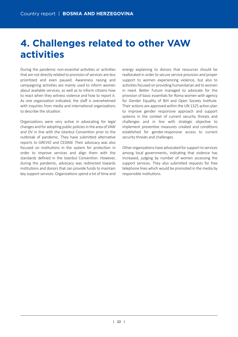# **4. Challenges related to other VAW activities**

During the pandemic non-essential activities or activities that are not directly related to provision of services are less priori�zed and even paused. Awareness raising and campaigning activities are mainly used to inform women about available services, as well as to inform citizens how to react when they witness violence and how to report it. As one organization indicated, the staff is overwhelmed with inquiries from media and international organizations to describe the situation.

Organizations were very active in advocating for legal changes and for adopting public policies in the area of VAW and DV in line with the Istanbul Convention prior to the outbreak of pandemic. They have submitted alternative reports to GREVIO and CEDAW. Their advocacy was also focused on institutions in the system for protection in order to improve services and align them with the standards defined in the Istanbul Convention. However, during the pandemic, advocacy was redirected towards institutions and donors that can provide funds to maintain key support services. Organizations spend a lot of time and energy explaining to donors that resources should be reallocated in order to secure service provision and proper support to women experiencing violence, but also to activities focused on providing humanitarian aid to women in need. Better Future managed to advocate for the provision of basic essentials for Roma women with agency for Gender Equality of BiH and Open Society Institute. Their actions are approved within the UN 1325 action plan to improve gender responsive approach and support systems in the context of current security threats and challenges and in line with strategic objective to implement preventive measures created and conditions established for gender-responsive access to current security threats and challenges.

Other organizations have advocated for support to services among local governments, indicating that violence has increased, judging by number of women accessing the support services. They also submitted requests for free telephone lines which would be promoted in the media by responsible institutions.